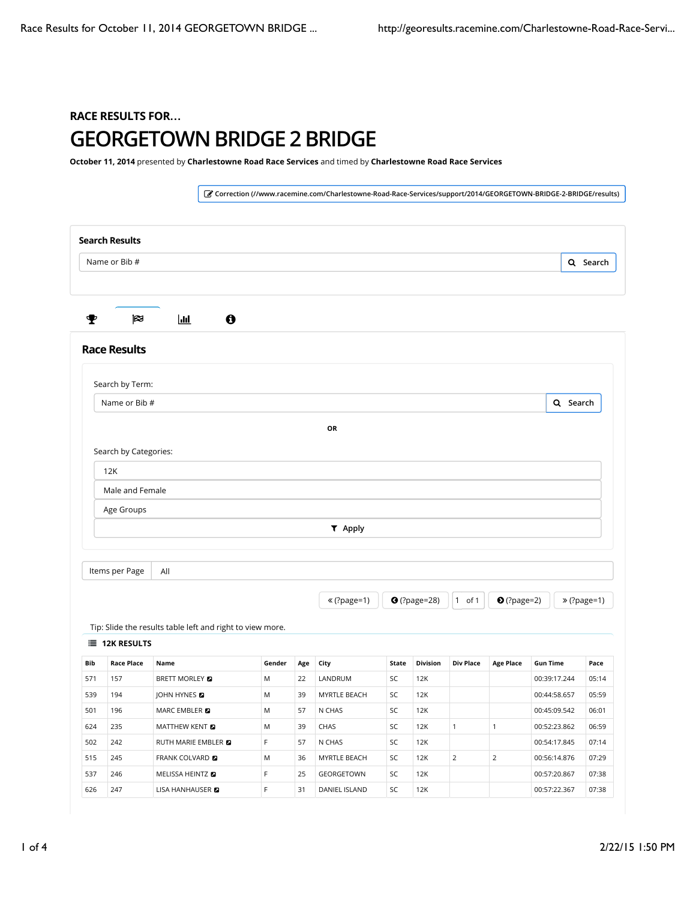## RACE RESULTS FOR**…** GEORGETOWN BRIDGE 2 BRIDGE

October 11, 2014 presented by Charlestowne Road Race Services and timed by Charlestowne Road Race Services

! Correction (//www.racemine.com/Charlestowne-Road-Race-Services/support/2014/GEORGETOWN-BRIDGE-2-BRIDGE/results) Search Results Q Search # \$ % & Race Results Tip: Slide the results table left and right to view more.  $\equiv$  12K RESULTS Bib Race Place Name Gender Age City State Division Div Place Age Place Gun Time Pace 571 157 BRETT MORLEY ( M 22 LANDRUM SC 12K 00:39:17.244 05:14 539 194 JOHN HYNES ( M 39 MYRTLE BEACH SC 12K 00:44:58.657 05:59 501 196 MARC EMBLER 2 M 57 N CHAS SC 12K 00:45:09.542 06:01 624 235 MATTHEW KENT **@** M 39 CHAS SC 12K 1 1 00:52:23.862 06:59 502 242 RUTH MARIE EMBLER **DESCEPT ARE ASSESSED ASSESSED AT A CHAS** SC 12K 00:54:17.845 07:14 515 245 FRANK COLVARD ( M 36 MYRTLE BEACH SC 12K 2 2 00:56:14.876 07:29 537 246 MELISSA HEINTZ **D** F 25 GEORGETOWN SC 12K 00:57:20.867 07:38 626 247 LISA HANHAUSER 2 F 31 DANIEL ISLAND SC 12K 00:57:22.367 07:38 Search by Term: Q Search OR Search by Categories: 12K Male and Female Age Groups ) Apply Items per Page  $\mathcal{L}$  (?page=1)  $\mathcal{L}$  (?page=28)  $\mathcal{L}$  of 1  $\mathcal{L}$  (?page=2)  $\mathcal{L}$   $\mathcal{L}$  (?page=1) Name or Bib # Name or Bib # All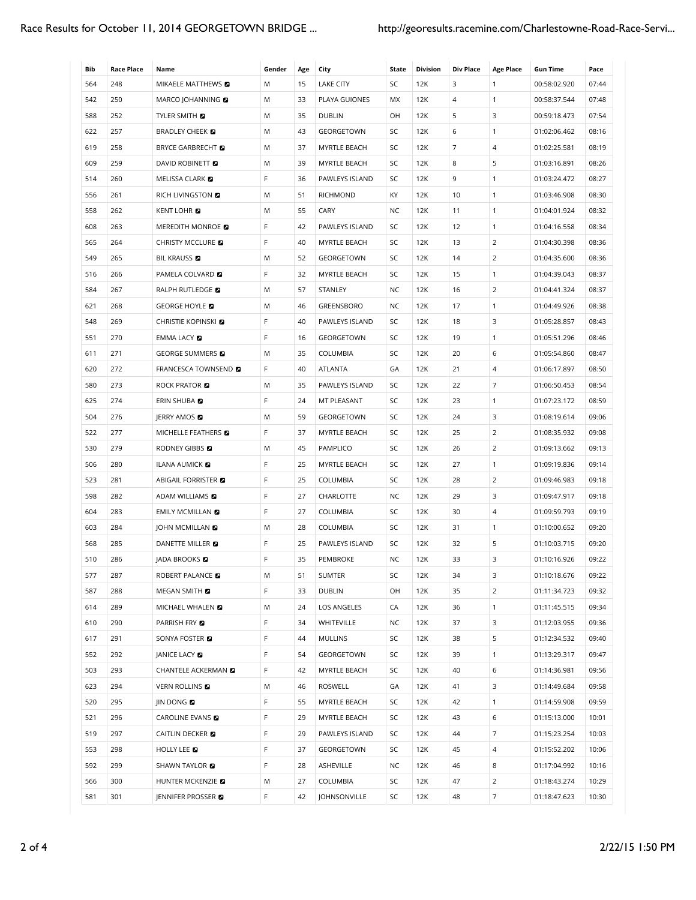| Bib | <b>Race Place</b> | Name                            | Gender | Age | City              | State     | <b>Division</b> | <b>Div Place</b> | <b>Age Place</b> | <b>Gun Time</b> | Pace  |
|-----|-------------------|---------------------------------|--------|-----|-------------------|-----------|-----------------|------------------|------------------|-----------------|-------|
| 564 | 248               | MIKAELE MATTHEWS 2              | M      | 15  | <b>LAKE CITY</b>  | SC        | 12K             | 3                | $\mathbf{1}$     | 00:58:02.920    | 07:44 |
| 542 | 250               | MARCO JOHANNING <b>D</b>        | M      | 33  | PLAYA GUIONES     | МX        | 12K             | 4                | $\mathbf{1}$     | 00:58:37.544    | 07:48 |
| 588 | 252               | <b>TYLER SMITH E</b>            | M      | 35  | <b>DUBLIN</b>     | OH        | 12K             | 5                | 3                | 00:59:18.473    | 07:54 |
| 622 | 257               | <b>BRADLEY CHEEK</b>            | M      | 43  | GEORGETOWN        | SC        | 12K             | 6                | $\mathbf{1}$     | 01:02:06.462    | 08:16 |
| 619 | 258               | <b>BRYCE GARBRECHT</b>          | M      | 37  | MYRTLE BEACH      | SC        | 12K             | 7                | $\overline{4}$   | 01:02:25.581    | 08:19 |
| 609 | 259               | DAVID ROBINETT <b>D</b>         | M      | 39  | MYRTLE BEACH      | SC        | 12K             | 8                | 5                | 01:03:16.891    | 08:26 |
| 514 | 260               | MELISSA CLARK                   | F      | 36  | PAWLEYS ISLAND    | SC        | 12K             | 9                | $\mathbf{1}$     | 01:03:24.472    | 08:27 |
| 556 | 261               | RICH LIVINGSTON <b>D</b>        | M      | 51  | RICHMOND          | KY        | 12K             | 10               | $\mathbf{1}$     | 01:03:46.908    | 08:30 |
| 558 | 262               | <b>KENT LOHR &amp;</b>          | M      | 55  | CARY              | NC        | 12K             | 11               | $\mathbf{1}$     | 01:04:01.924    | 08:32 |
| 608 | 263               | MEREDITH MONROE <b>D</b>        | F      | 42  | PAWLEYS ISLAND    | SC        | 12K             | 12               | $\mathbf{1}$     | 01:04:16.558    | 08:34 |
| 565 | 264               | <b>CHRISTY MCCLURE</b>          | F      | 40  | MYRTLE BEACH      | SC        | 12K             | 13               | $\overline{2}$   | 01:04:30.398    | 08:36 |
| 549 | 265               | <b>BIL KRAUSS</b>               | M      | 52  | GEORGETOWN        | SC        | 12K             | 14               | 2                | 01:04:35.600    | 08:36 |
| 516 | 266               | PAMELA COLVARD <b>D</b>         | F      | 32  | MYRTLE BEACH      | SC        | 12K             | 15               | $\mathbf{1}$     | 01:04:39.043    | 08:37 |
| 584 | 267               | RALPH RUTLEDGE                  | M      | 57  | STANLEY           | NC        | 12K             | 16               | $\overline{2}$   | 01:04:41.324    | 08:37 |
| 621 | 268               | <b>GEORGE HOYLE</b>             | M      | 46  | GREENSBORO        | <b>NC</b> | 12K             | 17               | $\mathbf{1}$     | 01:04:49.926    | 08:38 |
| 548 | 269               | CHRISTIE KOPINSKI <b>E</b>      | F      | 40  | PAWLEYS ISLAND    | SC        | 12K             | 18               | 3                | 01:05:28.857    | 08:43 |
| 551 | 270               | EMMA LACY <b>D</b>              | F      | 16  | <b>GEORGETOWN</b> | SC        | 12K             | 19               | $\mathbf{1}$     | 01:05:51.296    | 08:46 |
| 611 | 271               | <b>GEORGE SUMMERS</b>           | M      | 35  | COLUMBIA          | SC        | 12K             | 20               | 6                | 01:05:54.860    | 08:47 |
| 620 | 272               | <b>FRANCESCA TOWNSEND &amp;</b> | F      | 40  | ATLANTA           | GA        | 12K             | 21               | $\overline{4}$   | 01:06:17.897    | 08:50 |
| 580 | 273               | <b>ROCK PRATOR &amp;</b>        | M      | 35  | PAWLEYS ISLAND    | SC        | 12K             | 22               | $\overline{7}$   | 01:06:50.453    | 08:54 |
| 625 | 274               | ERIN SHUBA <b>D</b>             | F      | 24  | MT PLEASANT       | SC        | 12K             | 23               | $\mathbf{1}$     | 01:07:23.172    | 08:59 |
| 504 | 276               | JERRY AMOS                      | M      | 59  | GEORGETOWN        | SC        | 12K             | 24               | 3                | 01:08:19.614    | 09:06 |
| 522 | 277               | MICHELLE FEATHERS <b>D</b>      | F      | 37  | MYRTLE BEACH      | SC        | 12K             | 25               | $\overline{2}$   | 01:08:35.932    | 09:08 |
| 530 | 279               | <b>RODNEY GIBBS &amp;</b>       | M      | 45  | PAMPLICO          | SC        | 12K             | 26               | 2                | 01:09:13.662    | 09:13 |
| 506 | 280               | ILANA AUMICK <b>D</b>           | F      | 25  | MYRTLE BEACH      | SC        | 12K             | 27               | $\mathbf{1}$     | 01:09:19.836    | 09:14 |
| 523 | 281               | ABIGAIL FORRISTER <b>E</b>      | F      | 25  | COLUMBIA          | SC        | 12K             | 28               | $\overline{2}$   | 01:09:46.983    | 09:18 |
| 598 | 282               | ADAM WILLIAMS <b>D</b>          | F      | 27  | CHARLOTTE         | NC        | 12K             | 29               | 3                | 01:09:47.917    | 09:18 |
| 604 | 283               | <b>EMILY MCMILLAN &amp;</b>     | F      | 27  | COLUMBIA          | SC        | 12K             | 30               | $\overline{4}$   | 01:09:59.793    | 09:19 |
| 603 | 284               | JOHN MCMILLAN <b>D</b>          | M      | 28  | COLUMBIA          | SC        | 12K             | 31               | $\mathbf{1}$     | 01:10:00.652    | 09:20 |
| 568 | 285               | DANETTE MILLER                  | F      | 25  | PAWLEYS ISLAND    | SC        | 12K             | 32               | 5                | 01:10:03.715    | 09:20 |
| 510 | 286               | JADA BROOKS <b>E</b>            | F      | 35  | PEMBROKE          | <b>NC</b> | 12K             | 33               | 3                | 01:10:16.926    | 09:22 |
| 577 | 287               | ROBERT PALANCE                  | Μ      | 51  | <b>SUMTER</b>     | SC        | 12K             | 34               | 3                | 01:10:18.676    | 09:22 |
| 587 | 288               | MEGAN SMITH 2                   | F      | 33  | <b>DUBLIN</b>     | OH        | 12K             | 35               | $\overline{2}$   | 01:11:34.723    | 09:32 |
| 614 | 289               | MICHAEL WHALEN <b>D</b>         | M      | 24  | LOS ANGELES       | CA        | 12K             | 36               | $\mathbf{1}$     | 01:11:45.515    | 09:34 |
| 610 | 290               | PARRISH FRY <b>D</b>            | F      | 34  | <b>WHITEVILLE</b> | NC        | 12K             | 37               | 3                | 01:12:03.955    | 09:36 |
| 617 | 291               | SONYA FOSTER <b>D</b>           | F      | 44  | <b>MULLINS</b>    | SC        | 12K             | 38               | 5                | 01:12:34.532    | 09:40 |
| 552 | 292               | JANICE LACY <b>D</b>            | F      | 54  | GEORGETOWN        | SC        | 12K             | 39               | $\mathbf{1}$     | 01:13:29.317    | 09:47 |
| 503 | 293               | CHANTELE ACKERMAN <b>D</b>      | F      | 42  | MYRTLE BEACH      | SC        | 12K             | 40               | 6                | 01:14:36.981    | 09:56 |
| 623 | 294               | VERN ROLLINS <b>D</b>           | M      | 46  | ROSWELL           | GA        | 12K             | 41               | 3                | 01:14:49.684    | 09:58 |
| 520 | 295               | JIN DONG <b>D</b>               | F      | 55  | MYRTLE BEACH      | SC        | 12K             | 42               | $\mathbf{1}$     | 01:14:59.908    | 09:59 |
| 521 | 296               | <b>CAROLINE EVANS</b>           | F      | 29  | MYRTLE BEACH      | SC        | 12K             | 43               | 6                | 01:15:13.000    | 10:01 |
| 519 | 297               | CAITLIN DECKER <b>D</b>         | F      | 29  | PAWLEYS ISLAND    | SC        | 12K             | 44               | 7                | 01:15:23.254    | 10:03 |
| 553 | 298               | HOLLY LEE <b>D</b>              | F      | 37  | GEORGETOWN        | SC        | 12K             | 45               | 4                | 01:15:52.202    | 10:06 |
| 592 | 299               | SHAWN TAYLOR <b>D</b>           | F      | 28  | ASHEVILLE         | NC        | 12K             | 46               | 8                | 01:17:04.992    | 10:16 |
| 566 | 300               | HUNTER MCKENZIE                 | М      | 27  | COLUMBIA          | SC        | 12K             | 47               | $\overline{2}$   | 01:18:43.274    | 10:29 |
| 581 | 301               | JENNIFER PROSSER                | F      | 42  | JOHNSONVILLE      | SC        | 12K             | 48               | $\overline{7}$   | 01:18:47.623    | 10:30 |
|     |                   |                                 |        |     |                   |           |                 |                  |                  |                 |       |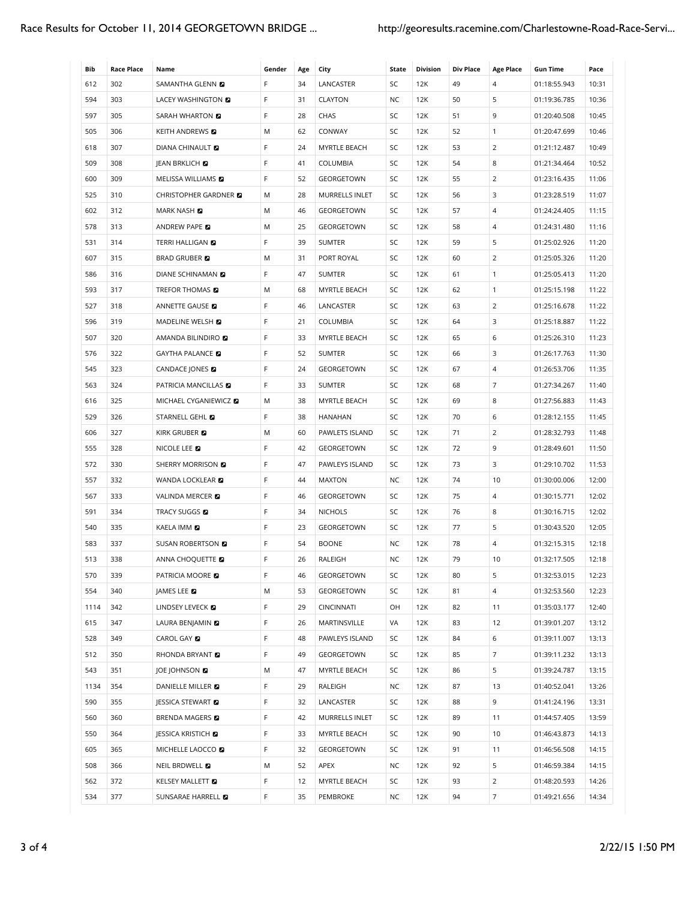| Bib  | <b>Race Place</b> | Name                         | Gender | Age | City                  | State     | <b>Division</b> | <b>Div Place</b> | <b>Age Place</b> | <b>Gun Time</b> | Pace  |
|------|-------------------|------------------------------|--------|-----|-----------------------|-----------|-----------------|------------------|------------------|-----------------|-------|
| 612  | 302               | SAMANTHA GLENN <b>D</b>      | F      | 34  | LANCASTER             | SC        | 12K             | 49               | $\overline{4}$   | 01:18:55.943    | 10:31 |
| 594  | 303               | LACEY WASHINGTON <b>D</b>    | F      | 31  | CLAYTON               | NC        | 12K             | 50               | 5                | 01:19:36.785    | 10:36 |
| 597  | 305               | SARAH WHARTON <b>D</b>       | F      | 28  | CHAS                  | SC        | 12K             | 51               | 9                | 01:20:40.508    | 10:45 |
| 505  | 306               | <b>KEITH ANDREWS &amp;</b>   | M      | 62  | CONWAY                | SC        | 12K             | 52               | $\mathbf{1}$     | 01:20:47.699    | 10:46 |
| 618  | 307               | <b>DIANA CHINAULT &amp;</b>  | F      | 24  | MYRTLE BEACH          | SC        | 12K             | 53               | $\overline{2}$   | 01:21:12.487    | 10:49 |
| 509  | 308               | JEAN BRKLICH <b>D</b>        | F      | 41  | COLUMBIA              | SC        | 12K             | 54               | 8                | 01:21:34.464    | 10:52 |
| 600  | 309               | MELISSA WILLIAMS <b>D</b>    | F      | 52  | GEORGETOWN            | SC        | 12K             | 55               | 2                | 01:23:16.435    | 11:06 |
| 525  | 310               | CHRISTOPHER GARDNER          | M      | 28  | <b>MURRELLS INLET</b> | SC        | 12K             | 56               | 3                | 01:23:28.519    | 11:07 |
| 602  | 312               | MARK NASH <b>D</b>           | M      | 46  | GEORGETOWN            | SC        | 12K             | 57               | $\overline{4}$   | 01:24:24.405    | 11:15 |
| 578  | 313               | ANDREW PAPE                  | M      | 25  | GEORGETOWN            | SC        | 12K             | 58               | $\overline{4}$   | 01:24:31.480    | 11:16 |
| 531  | 314               | TERRI HALLIGAN <b>D</b>      | F      | 39  | <b>SUMTER</b>         | SC        | 12K             | 59               | 5                | 01:25:02.926    | 11:20 |
| 607  | 315               | <b>BRAD GRUBER</b>           | M      | 31  | PORT ROYAL            | SC        | 12K             | 60               | 2                | 01:25:05.326    | 11:20 |
| 586  | 316               | DIANE SCHINAMAN <b>D</b>     | F      | 47  | <b>SUMTER</b>         | SC        | 12K             | 61               | $\mathbf{1}$     | 01:25:05.413    | 11:20 |
| 593  | 317               | TREFOR THOMAS <b>EX</b>      | M      | 68  | MYRTLE BEACH          | SC        | 12K             | 62               | $\mathbf{1}$     | 01:25:15.198    | 11:22 |
| 527  | 318               | ANNETTE GAUSE                | F      | 46  | LANCASTER             | SC        | 12K             | 63               | 2                | 01:25:16.678    | 11:22 |
| 596  | 319               | MADELINE WELSH <b>D</b>      | F      | 21  | COLUMBIA              | SC        | 12K             | 64               | 3                | 01:25:18.887    | 11:22 |
| 507  | 320               | AMANDA BILINDIRO <b>D</b>    | F      | 33  | MYRTLE BEACH          | SC        | 12K             | 65               | 6                | 01:25:26.310    | 11:23 |
| 576  | 322               | <b>GAYTHA PALANCE</b>        | F      | 52  | <b>SUMTER</b>         | SC        | 12K             | 66               | 3                | 01:26:17.763    | 11:30 |
| 545  | 323               | CANDACE JONES <b>D</b>       | F      | 24  | GEORGETOWN            | SC        | 12K             | 67               | $\overline{4}$   | 01:26:53.706    | 11:35 |
| 563  | 324               | PATRICIA MANCILLAS <b>EX</b> | F      | 33  | <b>SUMTER</b>         | SC        | 12K             | 68               | $\overline{7}$   | 01:27:34.267    | 11:40 |
| 616  | 325               | MICHAEL CYGANIEWICZ <b>D</b> | M      | 38  | MYRTLE BEACH          | SC        | 12K             | 69               | 8                | 01:27:56.883    | 11:43 |
| 529  | 326               | STARNELL GEHL                | F      | 38  | <b>HANAHAN</b>        | SC        | 12K             | 70               | 6                | 01:28:12.155    | 11:45 |
| 606  | 327               | KIRK GRUBER <b>D</b>         | M      | 60  | PAWLETS ISLAND        | SC        | 12K             | 71               | $\overline{2}$   | 01:28:32.793    | 11:48 |
| 555  | 328               | NICOLE LEE <b>D</b>          | F      | 42  | GEORGETOWN            | SC        | 12K             | 72               | 9                | 01:28:49.601    | 11:50 |
| 572  | 330               | SHERRY MORRISON <b>D</b>     | F      | 47  | PAWLEYS ISLAND        | SC        | 12K             | 73               | 3                | 01:29:10.702    | 11:53 |
| 557  | 332               | WANDA LOCKLEAR <b>D</b>      | F      | 44  | <b>MAXTON</b>         | NC        | 12K             | 74               | 10               | 01:30:00.006    | 12:00 |
| 567  | 333               | VALINDA MERCER <b>D</b>      | F      | 46  | GEORGETOWN            | SC        | 12K             | 75               | $\overline{4}$   | 01:30:15.771    | 12:02 |
| 591  | 334               | <b>TRACY SUGGS</b>           | F      | 34  | <b>NICHOLS</b>        | SC        | 12K             | 76               | 8                | 01:30:16.715    | 12:02 |
| 540  | 335               | KAELA IMM                    | F      | 23  | GEORGETOWN            | SC        | 12K             | 77               | 5                | 01:30:43.520    | 12:05 |
| 583  | 337               | SUSAN ROBERTSON <b>D</b>     | F      | 54  | <b>BOONE</b>          | NC        | 12K             | 78               | $\overline{4}$   | 01:32:15.315    | 12:18 |
| 513  | 338               | ANNA CHOQUETTE               | F      | 26  | RALEIGH               | <b>NC</b> | 12K             | 79               | 10               | 01:32:17.505    | 12:18 |
| 570  | 339               | PATRICIA MOORE               | F      | 46  | GEORGETOWN            | SC        | 12K             | 80               | 5                | 01:32:53.015    | 12:23 |
| 554  | 340               | JAMES LEE                    | Μ      | 53  | GEORGETOWN            | SC        | 12K             | 81               | 4                | 01:32:53.560    | 12:23 |
| 1114 | 342               | LINDSEY LEVECK               | F.     | 29  | <b>CINCINNATI</b>     | OH        | 12K             | 82               | 11               | 01:35:03.177    | 12:40 |
| 615  | 347               | LAURA BENJAMIN               | F      | 26  | MARTINSVILLE          | VA        | 12K             | 83               | 12               | 01:39:01.207    | 13:12 |
| 528  | 349               | CAROL GAY <b>D</b>           | F      | 48  | PAWLEYS ISLAND        | SC        | 12K             | 84               | 6                | 01:39:11.007    | 13:13 |
| 512  | 350               | RHONDA BRYANT                | F      | 49  | GEORGETOWN            | SC        | 12K             | 85               | $\overline{7}$   | 01:39:11.232    | 13:13 |
| 543  | 351               | JOE JOHNSON <b>D</b>         | M      | 47  | MYRTLE BEACH          | SC        | 12K             | 86               | 5                | 01:39:24.787    | 13:15 |
| 1134 | 354               | DANIELLE MILLER <b>D</b>     | F      | 29  | RALEIGH               | NC        | 12K             | 87               | 13               | 01:40:52.041    | 13:26 |
| 590  | 355               | JESSICA STEWART              | F      | 32  | LANCASTER             | SC        | 12K             | 88               | 9                | 01:41:24.196    | 13:31 |
| 560  | 360               | <b>BRENDA MAGERS</b>         | F      | 42  | MURRELLS INLET        | SC        | 12K             | 89               | 11               | 01:44:57.405    | 13:59 |
| 550  | 364               | JESSICA KRISTICH <b>D</b>    | F      | 33  | MYRTLE BEACH          | SC        | 12K             | 90               | 10               | 01:46:43.873    | 14:13 |
| 605  | 365               | MICHELLE LAOCCO <b>D</b>     | F      | 32  | GEORGETOWN            | SC        | 12K             | 91               | 11               | 01:46:56.508    | 14:15 |
| 508  | 366               | NEIL BRDWELL 2               | Μ      | 52  | APEX                  | NC        | 12K             | 92               | 5                | 01:46:59.384    | 14:15 |
| 562  | 372               | KELSEY MALLETT <b>D</b>      | F      | 12  | MYRTLE BEACH          | SC        | 12K             | 93               | $\overline{2}$   | 01:48:20.593    | 14:26 |
| 534  | 377               | SUNSARAE HARRELL <b>D</b>    | F      | 35  | PEMBROKE              | NC        | 12K             | 94               | 7                | 01:49:21.656    | 14:34 |